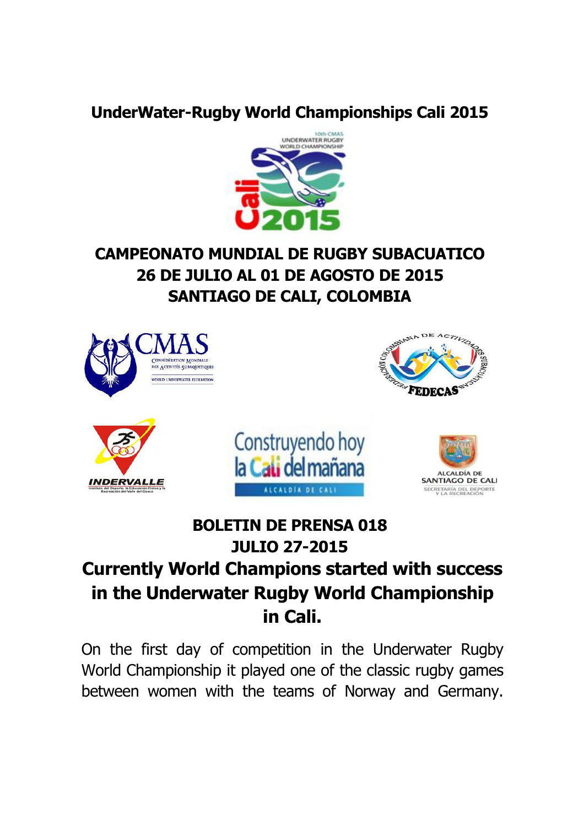## **UnderWater-Rugby World Championships Cali 2015**



# **CAMPEONATO MUNDIAL DE RUGBY SUBACUATICO 26 DE JULIO AL 01 DE AGOSTO DE 2015 SANTIAGO DE CALI, COLOMBIA**



# **BOLETIN DE PRENSA 018 JULIO 27-2015**

# **Currently World Champions started with success in the Underwater Rugby World Championship in Cali.**

On the first day of competition in the Underwater Rugby World Championship it played one of the classic rugby games between women with the teams of Norway and Germany.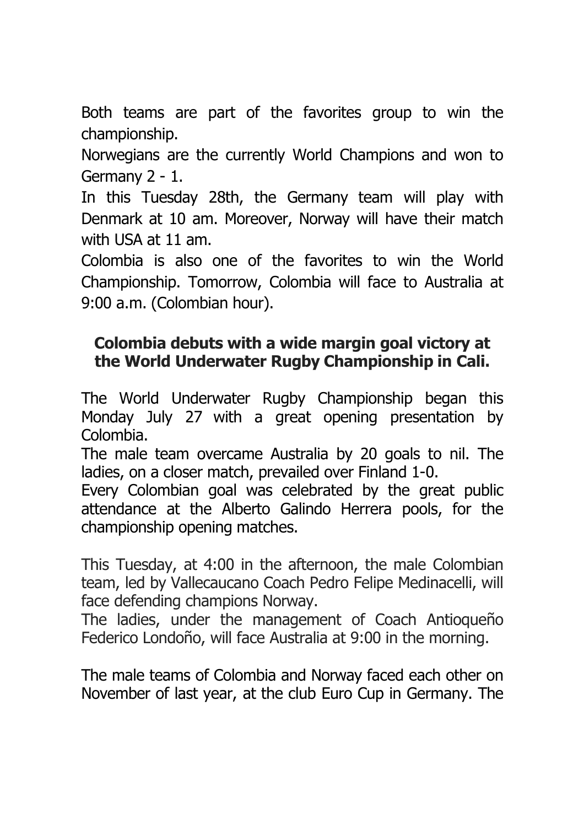Both teams are part of the favorites group to win the championship.

Norwegians are the currently World Champions and won to Germany 2 - 1.

In this Tuesday 28th, the Germany team will play with Denmark at 10 am. Moreover, Norway will have their match with USA at 11 am.

Colombia is also one of the favorites to win the World Championship. Tomorrow, Colombia will face to Australia at 9:00 a.m. (Colombian hour).

#### **Colombia debuts with a wide margin goal victory at the World Underwater Rugby Championship in Cali.**

The World Underwater Rugby Championship began this Monday July 27 with a great opening presentation by Colombia.

The male team overcame Australia by 20 goals to nil. The ladies, on a closer match, prevailed over Finland 1-0.

Every Colombian goal was celebrated by the great public attendance at the Alberto Galindo Herrera pools, for the championship opening matches.

This Tuesday, at 4:00 in the afternoon, the male Colombian team, led by Vallecaucano Coach Pedro Felipe Medinacelli, will face defending champions Norway.

The ladies, under the management of Coach Antioqueño Federico Londoño, will face Australia at 9:00 in the morning.

The male teams of Colombia and Norway faced each other on November of last year, at the club Euro Cup in Germany. The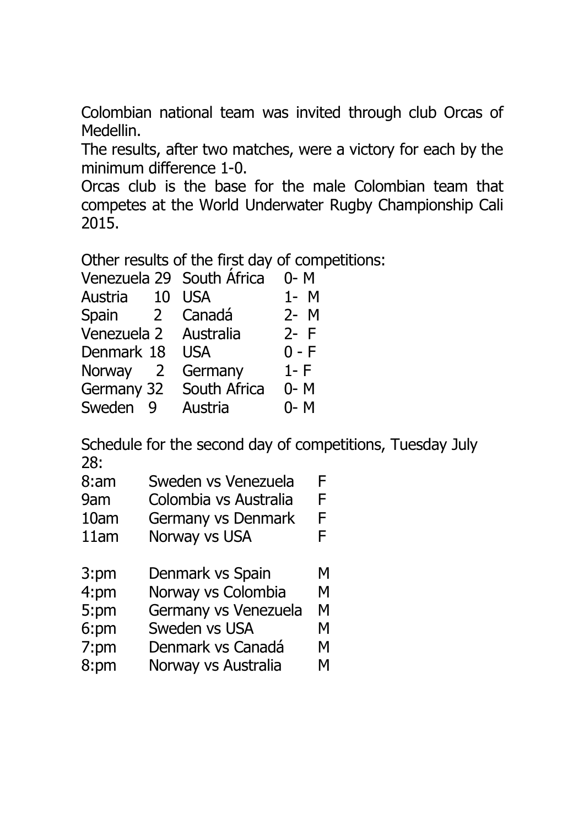Colombian national team was invited through club Orcas of Medellin.

The results, after two matches, were a victory for each by the minimum difference 1-0.

Orcas club is the base for the male Colombian team that competes at the World Underwater Rugby Championship Cali 2015.

Other results of the first day of competitions:

| Venezuela 29 South Africa |              | $0 - M$ |
|---------------------------|--------------|---------|
| Austria<br>10             | <b>USA</b>   | $1 - M$ |
| Spain<br>2 <sup>1</sup>   | Canadá       | $2 - M$ |
| Venezuela 2 Australia     |              | $2 - F$ |
| Denmark 18                | <b>USA</b>   | $0 - F$ |
| Norway 2                  | Germany      | $1-F$   |
| Germany 32                | South Africa | $0 - M$ |
| Sweden<br><b>D</b>        | Austria      | $0 - M$ |

Schedule for the second day of competitions, Tuesday July 28:

| 8:am | Sweden vs Venezuela   |  |
|------|-----------------------|--|
| 9am  | Colombia vs Australia |  |

- 10am Germany vs Denmark F
- 11am Norway vs USA F
- 3:pm Denmark vs Spain M
- 4:pm Norway vs Colombia M
- 5:pm Germany vs Venezuela M
- 6:pm Sweden vs USA M
- 7:pm Denmark vs Canadá M
- 8:pm Norway vs Australia M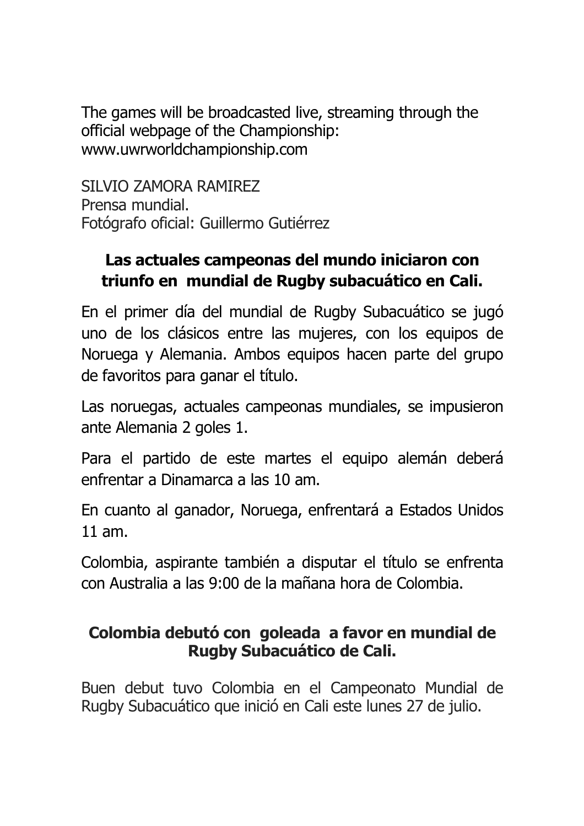The games will be broadcasted live, streaming through the official webpage of the Championship: <www.uwrworldchampionship.com>

SILVIO ZAMORA RAMIREZ Prensa mundial. Fotógrafo oficial: Guillermo Gutiérrez

# **Las actuales campeonas del mundo iniciaron con triunfo en mundial de Rugby subacuático en Cali.**

En el primer día del mundial de Rugby Subacuático se jugó uno de los clásicos entre las mujeres, con los equipos de Noruega y Alemania. Ambos equipos hacen parte del grupo de favoritos para ganar el título.

Las noruegas, actuales campeonas mundiales, se impusieron ante Alemania 2 goles 1.

Para el partido de este martes el equipo alemán deberá enfrentar a Dinamarca a las 10 am.

En cuanto al ganador, Noruega, enfrentará a Estados Unidos 11 am.

Colombia, aspirante también a disputar el título se enfrenta con Australia a las 9:00 de la mañana hora de Colombia.

## **Colombia debutó con goleada a favor en mundial de Rugby Subacuático de Cali.**

Buen debut tuvo Colombia en el Campeonato Mundial de Rugby Subacuático que inició en Cali este lunes 27 de julio.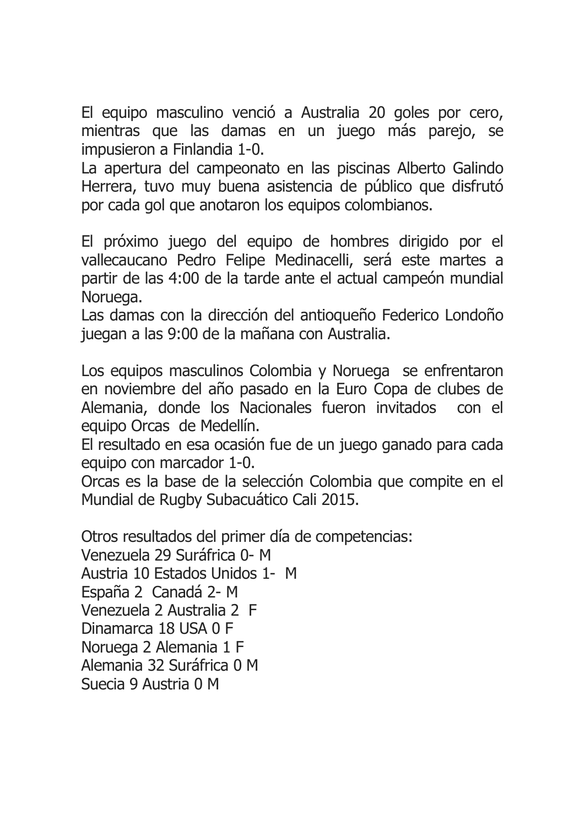El equipo masculino venció a Australia 20 goles por cero, mientras que las damas en un juego más parejo, se impusieron a Finlandia 1-0.

La apertura del campeonato en las piscinas Alberto Galindo Herrera, tuvo muy buena asistencia de público que disfrutó por cada gol que anotaron los equipos colombianos.

El próximo juego del equipo de hombres dirigido por el vallecaucano Pedro Felipe Medinacelli, será este martes a partir de las 4:00 de la tarde ante el actual campeón mundial Noruega.

Las damas con la dirección del antioqueño Federico Londoño juegan a las 9:00 de la mañana con Australia.

Los equipos masculinos Colombia y Noruega se enfrentaron en noviembre del año pasado en la Euro Copa de clubes de Alemania, donde los Nacionales fueron invitados con el equipo Orcas de Medellín.

El resultado en esa ocasión fue de un juego ganado para cada equipo con marcador 1-0.

Orcas es la base de la selección Colombia que compite en el Mundial de Rugby Subacuático Cali 2015.

Otros resultados del primer día de competencias: Venezuela 29 Suráfrica 0- M Austria 10 Estados Unidos 1- M España 2 Canadá 2- M Venezuela 2 Australia 2 F Dinamarca 18 USA 0 F Noruega 2 Alemania 1 F Alemania 32 Suráfrica 0 M Suecia 9 Austria 0 M